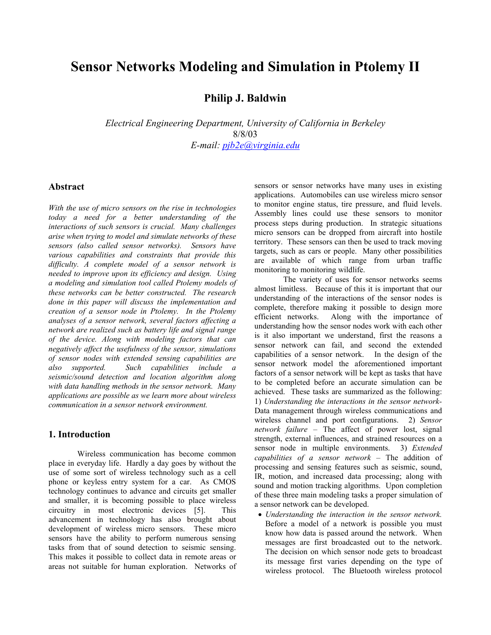# **Sensor Networks Modeling and Simulation in Ptolemy II**

# **Philip J. Baldwin**

*Electrical Engineering Department, University of California in Berkeley*  8/8/03 *E-mail: pjb2e@virginia.edu*

# **Abstract**

*With the use of micro sensors on the rise in technologies today a need for a better understanding of the interactions of such sensors is crucial. Many challenges arise when trying to model and simulate networks of these sensors (also called sensor networks). Sensors have various capabilities and constraints that provide this difficulty. A complete model of a sensor network is needed to improve upon its efficiency and design. Using a modeling and simulation tool called Ptolemy models of these networks can be better constructed. The research done in this paper will discuss the implementation and creation of a sensor node in Ptolemy. In the Ptolemy analyses of a sensor network, several factors affecting a network are realized such as battery life and signal range of the device. Along with modeling factors that can negatively affect the usefulness of the sensor, simulations of sensor nodes with extended sensing capabilities are also supported. Such capabilities include a seismic/sound detection and location algorithm along with data handling methods in the sensor network. Many applications are possible as we learn more about wireless communication in a sensor network environment.* 

#### **1. Introduction**

Wireless communication has become common place in everyday life. Hardly a day goes by without the use of some sort of wireless technology such as a cell phone or keyless entry system for a car. As CMOS technology continues to advance and circuits get smaller and smaller, it is becoming possible to place wireless circuitry in most electronic devices [5]. This advancement in technology has also brought about development of wireless micro sensors. These micro sensors have the ability to perform numerous sensing tasks from that of sound detection to seismic sensing. This makes it possible to collect data in remote areas or areas not suitable for human exploration. Networks of sensors or sensor networks have many uses in existing applications. Automobiles can use wireless micro sensor to monitor engine status, tire pressure, and fluid levels. Assembly lines could use these sensors to monitor process steps during production. In strategic situations micro sensors can be dropped from aircraft into hostile territory. These sensors can then be used to track moving targets, such as cars or people. Many other possibilities are available of which range from urban traffic monitoring to monitoring wildlife.

The variety of uses for sensor networks seems almost limitless. Because of this it is important that our understanding of the interactions of the sensor nodes is complete, therefore making it possible to design more efficient networks. Along with the importance of understanding how the sensor nodes work with each other is it also important we understand, first the reasons a sensor network can fail, and second the extended capabilities of a sensor network. In the design of the sensor network model the aforementioned important factors of a sensor network will be kept as tasks that have to be completed before an accurate simulation can be achieved. These tasks are summarized as the following: 1) *Understanding the interactions in the sensor network-*Data management through wireless communications and wireless channel and port configurations. 2) *Sensor network failure –* The affect of power lost, signal strength, external influences, and strained resources on a sensor node in multiple environments. 3) *Extended capabilities of a sensor network –* The addition of processing and sensing features such as seismic, sound, IR, motion, and increased data processing; along with sound and motion tracking algorithms. Upon completion of these three main modeling tasks a proper simulation of a sensor network can be developed.

• *Understanding the interaction in the sensor network.*  Before a model of a network is possible you must know how data is passed around the network. When messages are first broadcasted out to the network. The decision on which sensor node gets to broadcast its message first varies depending on the type of wireless protocol. The Bluetooth wireless protocol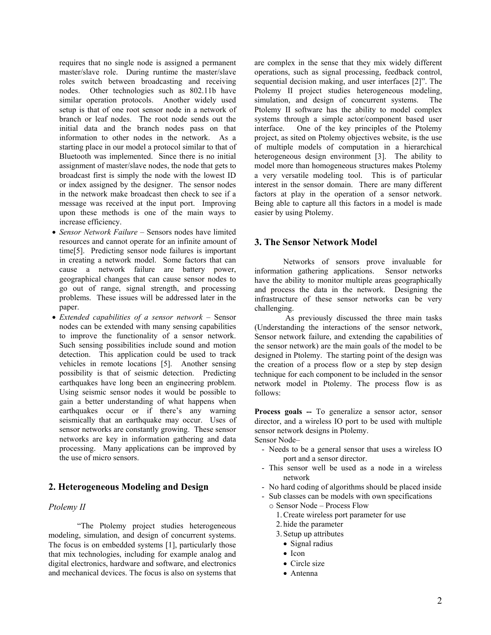requires that no single node is assigned a permanent master/slave role. During runtime the master/slave roles switch between broadcasting and receiving nodes. Other technologies such as 802.11b have similar operation protocols. Another widely used setup is that of one root sensor node in a network of branch or leaf nodes. The root node sends out the initial data and the branch nodes pass on that information to other nodes in the network. As a starting place in our model a protocol similar to that of Bluetooth was implemented. Since there is no initial assignment of master/slave nodes, the node that gets to broadcast first is simply the node with the lowest ID or index assigned by the designer. The sensor nodes in the network make broadcast then check to see if a message was received at the input port. Improving upon these methods is one of the main ways to increase efficiency.

- *Sensor Network Failure –* Sensors nodes have limited resources and cannot operate for an infinite amount of time[5]. Predicting sensor node failures is important in creating a network model. Some factors that can cause a network failure are battery power, geographical changes that can cause sensor nodes to go out of range, signal strength, and processing problems. These issues will be addressed later in the paper.
- *Extended capabilities of a sensor network –* Sensor nodes can be extended with many sensing capabilities to improve the functionality of a sensor network. Such sensing possibilities include sound and motion detection. This application could be used to track vehicles in remote locations [5]. Another sensing possibility is that of seismic detection. Predicting earthquakes have long been an engineering problem. Using seismic sensor nodes it would be possible to gain a better understanding of what happens when earthquakes occur or if there's any warning seismically that an earthquake may occur. Uses of sensor networks are constantly growing. These sensor networks are key in information gathering and data processing. Many applications can be improved by the use of micro sensors.

# **2. Heterogeneous Modeling and Design**

## *Ptolemy II*

"The Ptolemy project studies heterogeneous modeling, simulation, and design of concurrent systems. The focus is on embedded systems [1], particularly those that mix technologies, including for example analog and digital electronics, hardware and software, and electronics and mechanical devices. The focus is also on systems that

are complex in the sense that they mix widely different operations, such as signal processing, feedback control, sequential decision making, and user interfaces [2]". The Ptolemy II project studies heterogeneous modeling, simulation, and design of concurrent systems. The Ptolemy II software has the ability to model complex systems through a simple actor/component based user interface. One of the key principles of the Ptolemy project, as sited on Ptolemy objectives website, is the use of multiple models of computation in a hierarchical heterogeneous design environment [3]. The ability to model more than homogeneous structures makes Ptolemy a very versatile modeling tool. This is of particular interest in the sensor domain. There are many different factors at play in the operation of a sensor network. Being able to capture all this factors in a model is made easier by using Ptolemy.

## **3. The Sensor Network Model**

Networks of sensors prove invaluable for information gathering applications. Sensor networks have the ability to monitor multiple areas geographically and process the data in the network. Designing the infrastructure of these sensor networks can be very challenging.

 As previously discussed the three main tasks (Understanding the interactions of the sensor network, Sensor network failure, and extending the capabilities of the sensor network) are the main goals of the model to be designed in Ptolemy. The starting point of the design was the creation of a process flow or a step by step design technique for each component to be included in the sensor network model in Ptolemy. The process flow is as follows:

**Process goals --** To generalize a sensor actor, sensor director, and a wireless IO port to be used with multiple sensor network designs in Ptolemy.

Sensor Node–

- Needs to be a general sensor that uses a wireless IO port and a sensor director.
- This sensor well be used as a node in a wireless network
- No hard coding of algorithms should be placed inside
- Sub classes can be models with own specifications
	- o Sensor Node Process Flow
		- 1.Create wireless port parameter for use
		- 2. hide the parameter
		- 3. Setup up attributes
			- Signal radius
			- Icon
			- Circle size
			- Antenna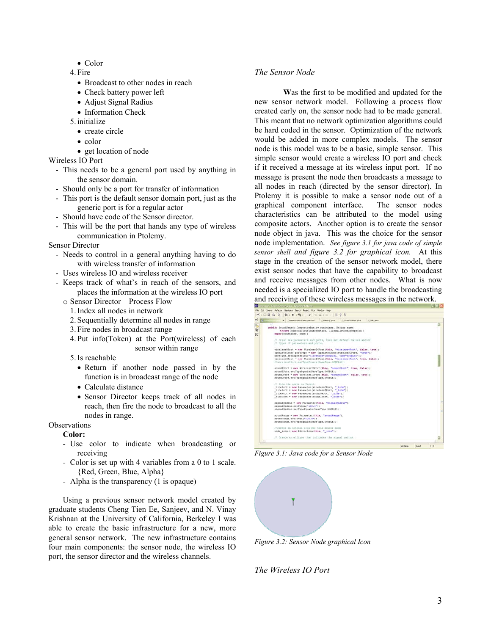- Color
- 4. Fire
	- Broadcast to other nodes in reach
	- Check battery power left
	- Adjust Signal Radius
	- Information Check
- 5. initialize
	- create circle
	- color
	- get location of node

Wireless IO Port –

- This needs to be a general port used by anything in the sensor domain.
- Should only be a port for transfer of information
- This port is the default sensor domain port, just as the generic port is for a regular actor
- Should have code of the Sensor director.
- This will be the port that hands any type of wireless communication in Ptolemy.

#### Sensor Director

- Needs to control in a general anything having to do with wireless transfer of information
- Uses wireless IO and wireless receiver
- Keeps track of what's in reach of the sensors, and places the information at the wireless IO port
	- o Sensor Director Process Flow
		- 1.Index all nodes in network
		- 2. Sequentially determine all nodes in range
		- 3. Fire nodes in broadcast range
		- 4. Put info(Token) at the Port(wireless) of each sensor within range
		- 5.Is reachable
			- Return if another node passed in by the function is in broadcast range of the node
			- Calculate distance
			- Sensor Director keeps track of all nodes in reach, then fire the node to broadcast to all the nodes in range.

#### **Observations**

## **Color:**

- Use color to indicate when broadcasting or receiving
- Color is set up with 4 variables from a 0 to 1 scale. {Red, Green, Blue, Alpha}
- Alpha is the transparency (1 is opaque)

Using a previous sensor network model created by graduate students Cheng Tien Ee, Sanjeev, and N. Vinay Krishnan at the University of California, Berkeley I was able to create the basic infrastructure for a new, more general sensor network. The new infrastructure contains four main components: the sensor node, the wireless IO port, the sensor director and the wireless channels.

# *The Sensor Node*

**W**as the first to be modified and updated for the new sensor network model. Following a process flow created early on, the sensor node had to be made general. This meant that no network optimization algorithms could be hard coded in the sensor. Optimization of the network would be added in more complex models. The sensor node is this model was to be a basic, simple sensor. This simple sensor would create a wireless IO port and check if it received a message at its wireless input port. If no message is present the node then broadcasts a message to all nodes in reach (directed by the sensor director). In Ptolemy it is possible to make a sensor node out of a graphical component interface. The sensor nodes characteristics can be attributed to the model using composite actors. Another option is to create the sensor node object in java. This was the choice for the sensor node implementation. *See figure 3.1 for java code of simple sensor shell and figure 3.2 for graphical icon.* At this stage in the creation of the sensor network model, there exist sensor nodes that have the capability to broadcast and receive messages from other nodes. What is now needed is a specialized IO port to handle the broadcasting and receiving of these wireless messages in the network.

|         | winelessSoundDetection.inst<br>$\times$<br>SoundTrader.java<br><b>IT Calc taylo</b><br>/ Battery.lava                                                                                                                                                                                                                                       |  |  |
|---------|---------------------------------------------------------------------------------------------------------------------------------------------------------------------------------------------------------------------------------------------------------------------------------------------------------------------------------------------|--|--|
| V<br>ŀ. | 7.7<br>public SoundSensor (CompositeEntity container, String name)<br>throws NameDuplicationException, IllegalActionException (<br>super(container, name);                                                                                                                                                                                  |  |  |
|         | // Crest new parameters and ports, then set default values and/or<br>// types of painweters and ports.                                                                                                                                                                                                                                      |  |  |
|         | wirelessOPort = new WirelessIOPort(this, "wirelessOPort", false, true);<br>TypeAttribute poctType = new TypeAttribute(wirelessOPort, "type");<br>portType.setExpression("(location=[double], time=double)");<br>wirelessIPort = new WirelessIOPort(this, "wirelessIPort", true, false);<br>//WireleasIPort.setTypeEquals(BaseType.GENERAL); |  |  |
|         | soundIPort = new WirelessIOPort(this, "soundIPort", true, false);<br>soundIPort.setTypeEquals(BaseType.DOUBLE);<br>soundOPort = new WirelessIOPort(this, "soundOPort", false, true);<br>soundOPort.setTypeEquals(BaseType.DOUBLE);                                                                                                          |  |  |
|         | // Hide the ports in Versil.<br>hidePort = new Parameter(wirelessOPort, " hide");<br>hidePort = new Parameter(wirelessIPort, " hide");<br>bidePort = new Parameter(soundOPort, " hide");<br>hidePort = new Parameter(soundIPort, " hide");                                                                                                  |  |  |
|         | signalRadius = new Parameter(this, "signalRadius");<br>signalRadius.petToken("100.0");<br>signalRadius.setTypeEquals(BaseType,DOUBLE);                                                                                                                                                                                                      |  |  |
|         | soundPange = new Parameter (this, "soundPange");<br>soundPange.setToken("200.0");<br>soundRange.setTypeEquals(BaseType.DOUBLE);                                                                                                                                                                                                             |  |  |
|         | //create an antenna icon for this sensor node<br>node icon = new EditorIcon(this, " icon");                                                                                                                                                                                                                                                 |  |  |
|         | // Creste an ellipse that indicates the signal radius.                                                                                                                                                                                                                                                                                      |  |  |

*Figure 3.1: Java code for a Sensor Node* 



*Figure 3.2: Sensor Node graphical Icon* 

*The Wireless IO Port*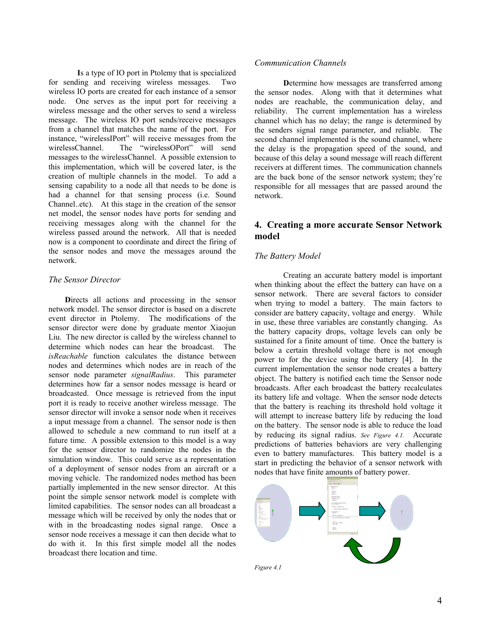**I**s a type of IO port in Ptolemy that is specialized for sending and receiving wireless messages. Two wireless IO ports are created for each instance of a sensor node. One serves as the input port for receiving a wireless message and the other serves to send a wireless message. The wireless IO port sends/receive messages from a channel that matches the name of the port. For instance, "wirelessIPort" will receive messages from the wirelessChannel. The "wirelessOPort" will send messages to the wirelessChannel. A possible extension to this implementation, which will be covered later, is the creation of multiple channels in the model. To add a sensing capability to a node all that needs to be done is had a channel for that sensing process (i.e. Sound Channel..etc). At this stage in the creation of the sensor net model, the sensor nodes have ports for sending and receiving messages along with the channel for the wireless passed around the network. All that is needed now is a component to coordinate and direct the firing of the sensor nodes and move the messages around the network.

## *The Sensor Director*

Directs all actions and processing in the sensor network model. The sensor director is based on a discrete event director in Ptolemy. The modifications of the sensor director were done by graduate mentor Xiaojun Liu. The new director is called by the wireless channel to determine which nodes can hear the broadcast. The *isReachable* function calculates the distance between nodes and determines which nodes are in reach of the sensor node parameter *signalRadius*. This parameter determines how far a sensor nodes message is heard or broadcasted. Once message is retrieved from the input port it is ready to receive another wireless message. The sensor director will invoke a sensor node when it receives a input message from a channel. The sensor node is then allowed to schedule a new command to run itself at a future time. A possible extension to this model is a way for the sensor director to randomize the nodes in the simulation window. This could serve as a representation of a deployment of sensor nodes from an aircraft or a moving vehicle. The randomized nodes method has been partially implemented in the new sensor director. At this point the simple sensor network model is complete with limited capabilities. The sensor nodes can all broadcast a message which will be received by only the nodes that or with in the broadcasting nodes signal range. Once a sensor node receives a message it can then decide what to do with it. In this first simple model all the nodes broadcast there location and time.

#### *Communication Channels*

**D**etermine how messages are transferred among the sensor nodes. Along with that it determines what nodes are reachable, the communication delay, and reliability. The current implementation has a wireless channel which has no delay; the range is determined by the senders signal range parameter, and reliable. The second channel implemented is the sound channel, where the delay is the propagation speed of the sound, and because of this delay a sound message will reach different receivers at different times. The communication channels are the back bone of the sensor network system; they're responsible for all messages that are passed around the network.

# **4. Creating a more accurate Sensor Network model**

## *The Battery Model*

Creating an accurate battery model is important when thinking about the effect the battery can have on a sensor network. There are several factors to consider when trying to model a battery. The main factors to consider are battery capacity, voltage and energy. While in use, these three variables are constantly changing. As the battery capacity drops, voltage levels can only be sustained for a finite amount of time. Once the battery is below a certain threshold voltage there is not enough power to for the device using the battery [4]. In the current implementation the sensor node creates a battery object. The battery is notified each time the Sensor node broadcasts. After each broadcast the battery recalculates its battery life and voltage. When the sensor node detects that the battery is reaching its threshold hold voltage it will attempt to increase battery life by reducing the load on the battery. The sensor node is able to reduce the load by reducing its signal radius. *See Figure 4.1.* Accurate predictions of batteries behaviors are very challenging even to battery manufactures. This battery model is a start in predicting the behavior of a sensor network with nodes that have finite amounts of battery power.

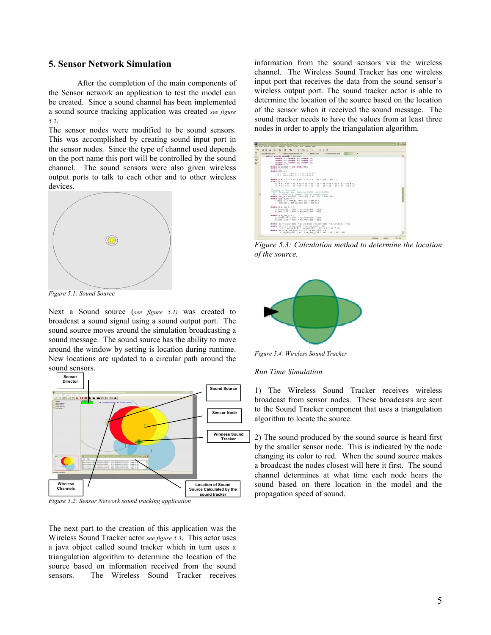# **5. Sensor Network Simulation**

After the completion of the main components of the Sensor network an application to test the model can be created. Since a sound channel has been implemented a sound source tracking application was created *see figure 5.2*.

The sensor nodes were modified to be sound sensors. This was accomplished by creating sound input port in the sensor nodes. Since the type of channel used depends on the port name this port will be controlled by the sound channel. The sound sensors were also given wireless output ports to talk to each other and to other wireless devices.



*Figure 5.1: Sound Source* 

Next a Sound source (*see figure 5.1)* was created to broadcast a sound signal using a sound output port. The sound source moves around the simulation broadcasting a sound message. The sound source has the ability to move around the window by setting is location during runtime. New locations are updated to a circular path around the sound sensors.



*Figure 5.2: Sensor Network sound tracking application* 

The next part to the creation of this application was the Wireless Sound Tracker actor *see figure 5.3*. This actor uses a java object called sound tracker which in turn uses a triangulation algorithm to determine the location of the source based on information received from the sound sensors. The Wireless Sound Tracker receives information from the sound sensors via the wireless channel. The Wireless Sound Tracker has one wireless input port that receives the data from the sound sensor's wireless output port. The sound tracker actor is able to determine the location of the source based on the location of the sensor when it received the sound message. The sound tracker needs to have the values from at least three nodes in order to apply the triangulation algorithm.



*Figure 5.3: Calculation method to determine the location of the source.* 



*Figure 5.4: Wireless Sound Tracker* 

#### *Run Time Simulation*

1) The Wireless Sound Tracker receives wireless broadcast from sensor nodes. These broadcasts are sent to the Sound Tracker component that uses a triangulation algorithm to locate the source.

2) The sound produced by the sound source is heard first by the smaller sensor node. This is indicated by the node changing its color to red. When the sound source makes a broadcast the nodes closest will here it first. The sound channel determines at what time each node hears the sound based on there location in the model and the propagation speed of sound.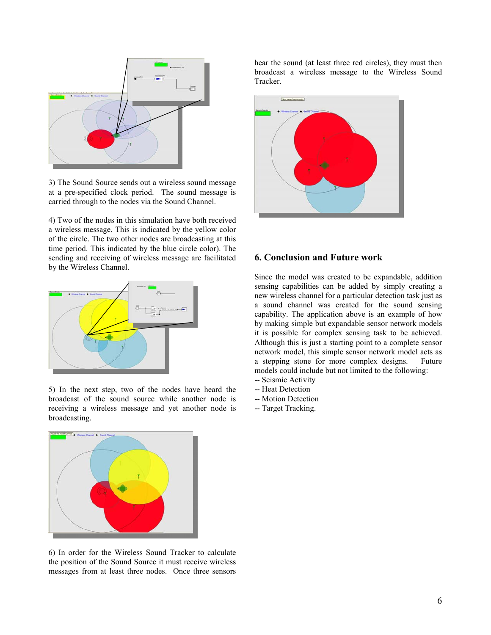

3) The Sound Source sends out a wireless sound message at a pre-specified clock period. The sound message is carried through to the nodes via the Sound Channel.

4) Two of the nodes in this simulation have both received a wireless message. This is indicated by the yellow color of the circle. The two other nodes are broadcasting at this time period. This indicated by the blue circle color). The sending and receiving of wireless message are facilitated by the Wireless Channel.



5) In the next step, two of the nodes have heard the broadcast of the sound source while another node is receiving a wireless message and yet another node is broadcasting.



6) In order for the Wireless Sound Tracker to calculate the position of the Sound Source it must receive wireless messages from at least three nodes. Once three sensors

hear the sound (at least three red circles), they must then broadcast a wireless message to the Wireless Sound Tracker.



# **6. Conclusion and Future work**

Since the model was created to be expandable, addition sensing capabilities can be added by simply creating a new wireless channel for a particular detection task just as a sound channel was created for the sound sensing capability. The application above is an example of how by making simple but expandable sensor network models it is possible for complex sensing task to be achieved. Although this is just a starting point to a complete sensor network model, this simple sensor network model acts as a stepping stone for more complex designs. Future models could include but not limited to the following: -- Seismic Activity

- -- Heat Detection
- -- Motion Detection
- -- Target Tracking.